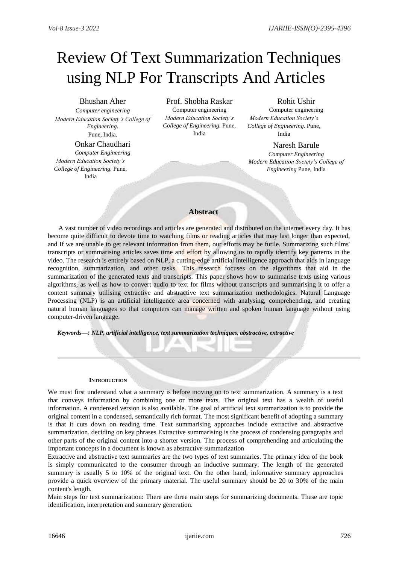# Review Of Text Summarization Techniques using NLP For Transcripts And Articles

Bhushan Aher *Computer engineering Modern Education Society's College of Engineering.* Pune, India.

# Onkar Chaudhari

*Computer Engineering Modern Education Society's College of Engineering.* Pune, India

Prof. Shobha Raskar Computer engineering *Modern Education Society's College of Engineering.* Pune, India

# Rohit Ushir

Computer engineering *Modern Education Society's College of Engineering.* Pune, India

Naresh Barule *Computer Engineering Modern Education Society's College of Engineering* Pune, India

# **Abstract**

A vast number of video recordings and articles are generated and distributed on the internet every day. It has become quite difficult to devote time to watching films or reading articles that may last longer than expected, and If we are unable to get relevant information from them, our efforts may be futile. Summarizing such films' transcripts or summarising articles saves time and effort by allowing us to rapidly identify key patterns in the video. The research is entirely based on NLP, a cutting-edge artificial intelligence approach that aids in language recognition, summarization, and other tasks. This research focuses on the algorithms that aid in the summarization of the generated texts and transcripts. This paper shows how to summarise texts using various algorithms, as well as how to convert audio to text for films without transcripts and summarising it to offer a content summary utilising extractive and abstractive text summarization methodologies. Natural Language Processing (NLP) is an artificial intelligence area concerned with analysing, comprehending, and creating natural human languages so that computers can manage written and spoken human language without using computer-driven language.

*Keywords—: NLP, artificial intelligence, text summarization techniques, abstractive, extractive*

# **INTRODUCTION**

We must first understand what a summary is before moving on to text summarization. A summary is a text that conveys information by combining one or more texts. The original text has a wealth of useful information. A condensed version is also available. The goal of artificial text summarization is to provide the original content in a condensed, semantically rich format. The most significant benefit of adopting a summary is that it cuts down on reading time. Text summarising approaches include extractive and abstractive summarization. deciding on key phrases Extractive summarising is the process of condensing paragraphs and other parts of the original content into a shorter version. The process of comprehending and articulating the important concepts in a document is known as abstractive summarization

Extractive and abstractive text summaries are the two types of text summaries. The primary idea of the book is simply communicated to the consumer through an inductive summary. The length of the generated summary is usually 5 to 10% of the original text. On the other hand, informative summary approaches provide a quick overview of the primary material. The useful summary should be 20 to 30% of the main content's length.

Main steps for text summarization: There are three main steps for summarizing documents. These are topic identification, interpretation and summary generation.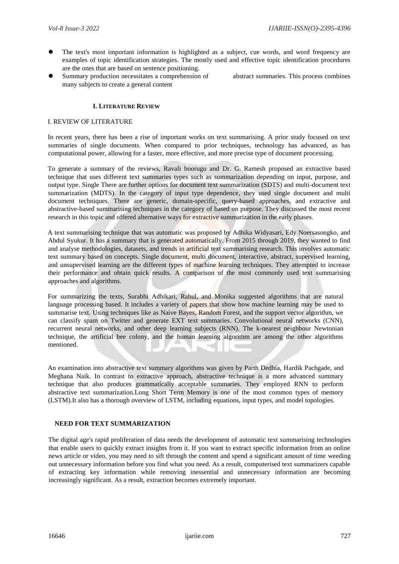- The text's most important information is highlighted as a subject, cue words, and word frequency are examples of topic identification strategies. The mostly used and effective topic identification procedures are the ones that are based on sentence positioning.
- Summary production necessitates a comprehension of abstract summaries. This process combines many subjects to create a general content

# **I. LITERATURE REVIEW**

#### I. REVIEW OF LITERATURE

In recent years, there has been a rise of important works on text summarising. A prior study focused on text summaries of single documents. When compared to prior techniques, technology has advanced, as has computational power, allowing for a faster, more effective, and more precise type of document processing.

To generate a summary of the reviews, Ravali boorugu and Dr. G. Ramesh proposed an extractive based technique that uses different text summaries types such as summarization depending on input, purpose, and output type. Single There are further options for document text summarization (SDTS) and multi-document text summarization (MDTS). In the category of input type dependence, they used single document and multi document techniques. There are generic, domain-specific, query-based approaches, and extractive and abstractive-based summarising techniques in the category of based on purpose. They discussed the most recent research in this topic and offered alternative ways for extractive summarization in the early phases.

A text summarising technique that was automatic was proposed by Adhika Widyasari, Edy Noersasongko, and Abdul Syukur. It has a summary that is generated automatically. From 2015 through 2019, they wanted to find and analyse methodologies, datasets, and trends in artificial text summarising research. This involves automatic text summary based on concepts. Single document, multi document, interactive, abstract, supervised learning, and unsupervised learning are the different types of machine learning techniques. They attempted to increase their performance and obtain quick results. A comparison of the most commonly used text summarising approaches and algorithms.

For summarizing the texts, Surabhi Adhikari, Rahul, and Monika suggested algorithms that are natural language processing based. It includes a variety of papers that show how machine learning may be used to summarise text. Using techniques like as Naive Bayes, Random Forest, and the support vector algorithm, we can classify spam on Twitter and generate EXT text summaries. Convolutional neural networks (CNN), recurrent neural networks, and other deep learning subjects (RNN). The k-nearest neighbour Newtonian technique, the artificial bee colony, and the human learning algorithm are among the other algorithms mentioned.

An examination into abstractive text summary algorithms was given by Parth Dedhia, Hardik Pachgade, and Meghana Naik. In contrast to extractive approach, abstractive technique is a more advanced summary technique that also produces grammatically acceptable summaries. They employed RNN to perform abstractive text summarization.Long Short Term Memory is one of the most common types of memory (LSTM).It also has a thorough overview of LSTM, including equations, input types, and model topologies.

# **NEED FOR TEXT SUMMARIZATION**

The digital age's rapid proliferation of data needs the development of automatic text summarising technologies that enable users to quickly extract insights from it. If you want to extract specific information from an online news article or video, you may need to sift through the content and spend a significant amount of time weeding out unnecessary information before you find what you need. As a result, computerised text summarizers capable of extracting key information while removing inessential and unnecessary information are becoming increasingly significant. As a result, extraction becomes extremely important.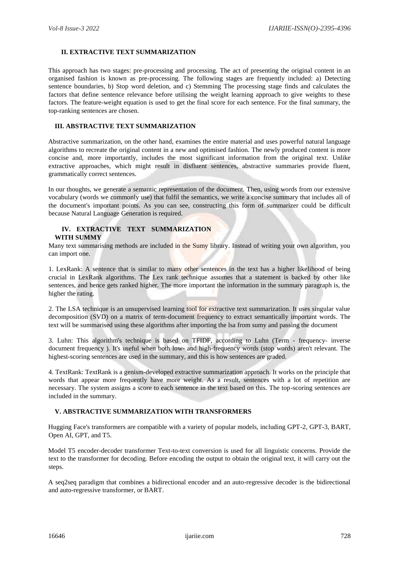# **II. EXTRACTIVE TEXT SUMMARIZATION**

This approach has two stages: pre-processing and processing. The act of presenting the original content in an organised fashion is known as pre-processing. The following stages are frequently included: a) Detecting sentence boundaries, b) Stop word deletion, and c) Stemming The processing stage finds and calculates the factors that define sentence relevance before utilising the weight learning approach to give weights to these factors. The feature-weight equation is used to get the final score for each sentence. For the final summary, the top-ranking sentences are chosen.

#### **III. ABSTRACTIVE TEXT SUMMARIZATION**

Abstractive summarization, on the other hand, examines the entire material and uses powerful natural language algorithms to recreate the original content in a new and optimised fashion. The newly produced content is more concise and, more importantly, includes the most significant information from the original text. Unlike extractive approaches, which might result in disfluent sentences, abstractive summaries provide fluent, grammatically correct sentences.

In our thoughts, we generate a semantic representation of the document. Then, using words from our extensive vocabulary (words we commonly use) that fulfil the semantics, we write a concise summary that includes all of the document's important points. As you can see, constructing this form of summarizer could be difficult because Natural Language Generation is required.

#### **IV. EXTRACTIVE TEXT SUMMARIZATION WITH SUMMY**

Many text summarising methods are included in the Sumy library. Instead of writing your own algorithm, you can import one.

1. LexRank: A sentence that is similar to many other sentences in the text has a higher likelihood of being crucial in LexRank algorithms. The Lex rank technique assumes that a statement is backed by other like sentences, and hence gets ranked higher. The more important the information in the summary paragraph is, the higher the rating.

2. The LSA technique is an unsupervised learning tool for extractive text summarization. It uses singular value decomposition (SVD) on a matrix of term-document frequency to extract semantically important words. The text will be summarised using these algorithms after importing the lsa from sumy and passing the document

3. Luhn: This algorithm's technique is based on TFIDF, according to Luhn (Term - frequency- inverse document frequency ). It's useful when both low- and high-frequency words (stop words) aren't relevant. The highest-scoring sentences are used in the summary, and this is how sentences are graded.

4. TextRank: TextRank is a genism-developed extractive summarization approach. It works on the principle that words that appear more frequently have more weight. As a result, sentences with a lot of repetition are necessary. The system assigns a score to each sentence in the text based on this. The top-scoring sentences are included in the summary.

#### **V. ABSTRACTIVE SUMMARIZATION WITH TRANSFORMERS**

Hugging Face's transformers are compatible with a variety of popular models, including GPT-2, GPT-3, BART, Open AI, GPT, and T5.

Model T5 encoder-decoder transformer Text-to-text conversion is used for all linguistic concerns. Provide the text to the transformer for decoding. Before encoding the output to obtain the original text, it will carry out the steps.

A seq2seq paradigm that combines a bidirectional encoder and an auto-regressive decoder is the bidirectional and auto-regressive transformer, or BART.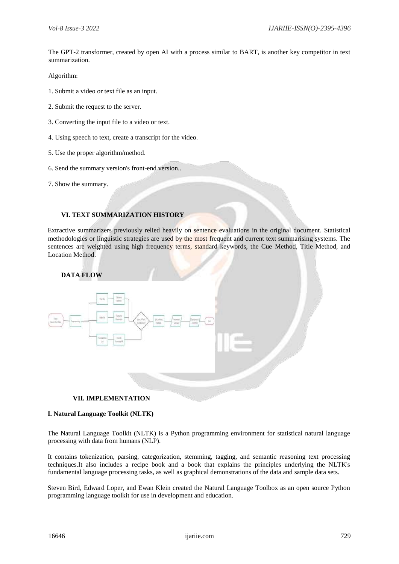The GPT-2 transformer, created by open AI with a process similar to BART, is another key competitor in text summarization.

Algorithm:

- 1. Submit a video or text file as an input.
- 2. Submit the request to the server.
- 3. Converting the input file to a video or text.
- 4. Using speech to text, create a transcript for the video.
- 5. Use the proper algorithm/method.
- 6. Send the summary version's front-end version..
- 7. Show the summary.

# **VI. TEXT SUMMARIZATION HISTORY**

Extractive summarizers previously relied heavily on sentence evaluations in the original document. Statistical methodologies or linguistic strategies are used by the most frequent and current text summarising systems. The sentences are weighted using high frequency terms, standard keywords, the Cue Method, Title Method, and Location Method.

# **DATA FLOW**



#### **VII. IMPLEMENTATION**

#### **I. Natural Language Toolkit (NLTK)**

The Natural Language Toolkit (NLTK) is a Python programming environment for statistical natural language processing with data from humans (NLP).

It contains tokenization, parsing, categorization, stemming, tagging, and semantic reasoning text processing techniques.It also includes a recipe book and a book that explains the principles underlying the NLTK's fundamental language processing tasks, as well as graphical demonstrations of the data and sample data sets.

Steven Bird, Edward Loper, and Ewan Klein created the Natural Language Toolbox as an open source Python programming language toolkit for use in development and education.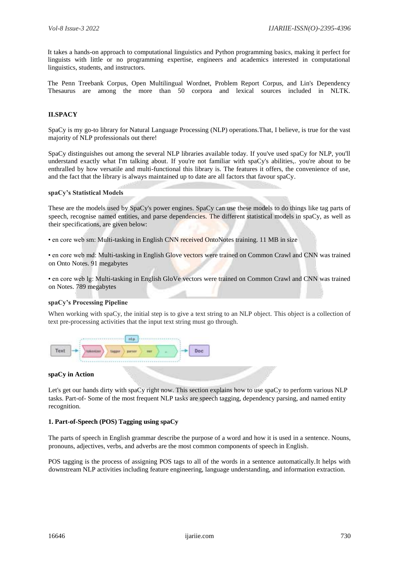It takes a hands-on approach to computational linguistics and Python programming basics, making it perfect for linguists with little or no programming expertise, engineers and academics interested in computational linguistics, students, and instructors.

The Penn Treebank Corpus, Open Multilingual Wordnet, Problem Report Corpus, and Lin's Dependency Thesaurus are among the more than 50 corpora and lexical sources included in NLTK.

# **II.SPACY**

SpaCy is my go-to library for Natural Language Processing (NLP) operations.That, I believe, is true for the vast majority of NLP professionals out there!

SpaCy distinguishes out among the several NLP libraries available today. If you've used spaCy for NLP, you'll understand exactly what I'm talking about. If you're not familiar with spaCy's abilities,. you're about to be enthralled by how versatile and multi-functional this library is. The features it offers, the convenience of use, and the fact that the library is always maintained up to date are all factors that favour spaCy.

#### **spaCy's Statistical Models**

These are the models used by SpaCy's power engines. SpaCy can use these models to do things like tag parts of speech, recognise named entities, and parse dependencies. The different statistical models in spaCy, as well as their specifications, are given below:

• en core web sm: Multi-tasking in English CNN received OntoNotes training. 11 MB in size

• en core web md: Multi-tasking in English Glove vectors were trained on Common Crawl and CNN was trained on Onto Notes. 91 megabytes

• en core web lg: Multi-tasking in English GloVe vectors were trained on Common Crawl and CNN was trained on Notes. 789 megabytes

# **spaCy's Processing Pipeline**

When working with spaCy, the initial step is to give a text string to an NLP object. This object is a collection of text pre-processing activities that the input text string must go through.



#### **spaCy in Action**

Let's get our hands dirty with spaCy right now. This section explains how to use spaCy to perform various NLP tasks. Part-of- Some of the most frequent NLP tasks are speech tagging, dependency parsing, and named entity recognition.

## **1. Part-of-Speech (POS) Tagging using spaCy**

The parts of speech in English grammar describe the purpose of a word and how it is used in a sentence. Nouns, pronouns, adjectives, verbs, and adverbs are the most common components of speech in English.

POS tagging is the process of assigning POS tags to all of the words in a sentence automatically.It helps with downstream NLP activities including feature engineering, language understanding, and information extraction.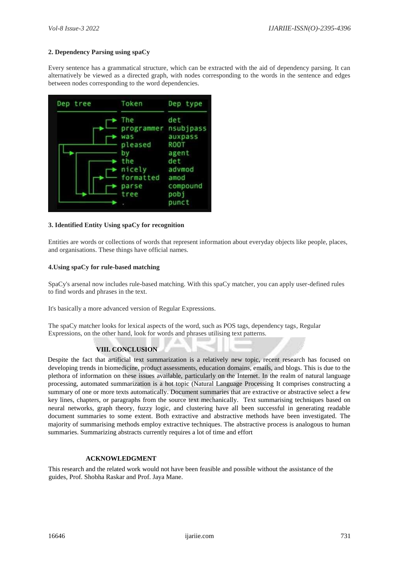# **2. Dependency Parsing using spaCy**

Every sentence has a grammatical structure, which can be extracted with the aid of dependency parsing. It can alternatively be viewed as a directed graph, with nodes corresponding to the words in the sentence and edges between nodes corresponding to the word dependencies.



# **3. Identified Entity Using spaCy for recognition**

Entities are words or collections of words that represent information about everyday objects like people, places, and organisations. These things have official names.

# **4.Using spaCy for rule-based matching**

SpaCy's arsenal now includes rule-based matching. With this spaCy matcher, you can apply user-defined rules to find words and phrases in the text.

It's basically a more advanced version of Regular Expressions.

The spaCy matcher looks for lexical aspects of the word, such as POS tags, dependency tags, Regular Expressions, on the other hand, look for words and phrases utilising text patterns.

# **VIII. CONCLUSION**

Despite the fact that artificial text summarization is a relatively new topic, recent research has focused on developing trends in biomedicine, product assessments, education domains, emails, and blogs. This is due to the plethora of information on these issues available, particularly on the Internet. In the realm of natural language processing, automated summarization is a hot topic (Natural Language Processing It comprises constructing a summary of one or more texts automatically. Document summaries that are extractive or abstractive select a few key lines, chapters, or paragraphs from the source text mechanically. Text summarising techniques based on neural networks, graph theory, fuzzy logic, and clustering have all been successful in generating readable document summaries to some extent. Both extractive and abstractive methods have been investigated. The majority of summarising methods employ extractive techniques. The abstractive process is analogous to human summaries. Summarizing abstracts currently requires a lot of time and effort

# **ACKNOWLEDGMENT**

This research and the related work would not have been feasible and possible without the assistance of the guides, Prof. Shobha Raskar and Prof. Jaya Mane.